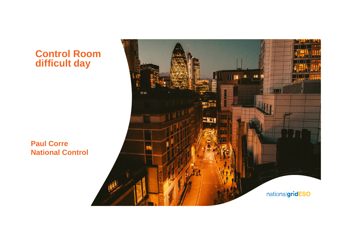### **Control Room difficult day**

**Paul Corre National Control**

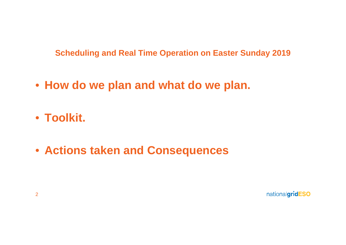**Scheduling and Real Time Operation on Easter Sunday 2019**

• **How do we plan and what do we plan.**

• **Toolkit.**

• **Actions taken and Consequences**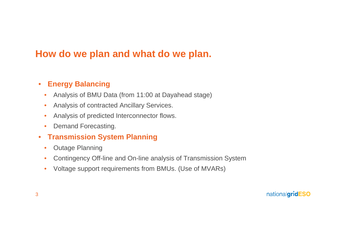## **How do we plan and what do we plan.**

#### • **Energy Balancing**

- Analysis of BMU Data (from 11:00 at Dayahead stage)
- Analysis of contracted Ancillary Services.
- Analysis of predicted Interconnector flows.
- Demand Forecasting.
- **Transmission System Planning**
	- Outage Planning
	- Contingency Off-line and On-line analysis of Transmission System
	- Voltage support requirements from BMUs. (Use of MVARs)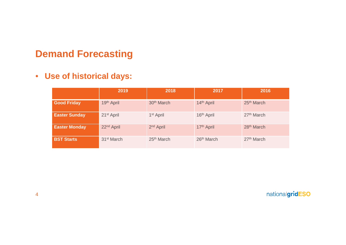## **Demand Forecasting**

### • **Use of historical days:**

|                      | 2019                   | 2018                   | 2017                   | 2016                   |
|----------------------|------------------------|------------------------|------------------------|------------------------|
| <b>Good Friday</b>   | 19th April             | 30 <sup>th</sup> March | 14th April             | 25 <sup>th</sup> March |
| <b>Easter Sunday</b> | 21 <sup>st</sup> April | 1 <sup>st</sup> April  | 16 <sup>th</sup> April | 27 <sup>th</sup> March |
| <b>Easter Monday</b> | 22 <sup>nd</sup> April | 2 <sup>nd</sup> April  | 17th April             | 28 <sup>th</sup> March |
| <b>BST Starts</b>    | 31 <sup>st</sup> March | 25 <sup>th</sup> March | 26 <sup>th</sup> March | 27 <sup>th</sup> March |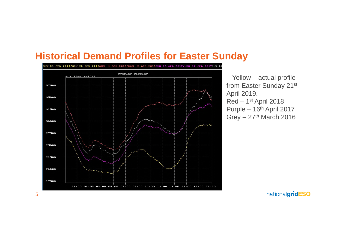### **Historical Demand Profiles for Easter Sunday**



- Yellow – actual profile from Easter Sunday 21st April 2019. Red – 1st April 2018 Purple – 16th April 2017 Grey  $-27$ <sup>th</sup> March 2016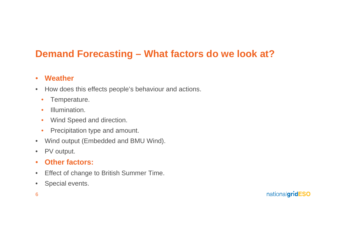# **Demand Forecasting – What factors do we look at?**

#### • **Weather**

- How does this effects people's behaviour and actions.
	- Temperature.
	- Illumination.
	- Wind Speed and direction.
	- Precipitation type and amount.
- Wind output (Embedded and BMU Wind).
- PV output.

#### • **Other factors:**

- Effect of change to British Summer Time.
- Special events.
- 6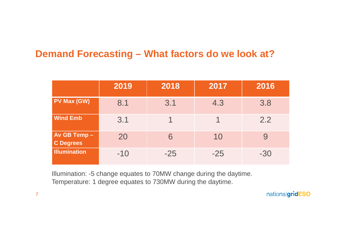## **Demand Forecasting – What factors do we look at?**

|                                 | 2019  | 2018  | 2017  | 2016  |
|---------------------------------|-------|-------|-------|-------|
| <b>PV Max (GW)</b>              | 8.1   | 3.1   | 4.3   | 3.8   |
| <b>Wind Emb</b>                 | 3.1   |       |       | 2.2   |
| Av GB Temp-<br><b>C</b> Degrees | 20    | 6     | 10    | 9     |
| <b>Illumination</b>             | $-10$ | $-25$ | $-25$ | $-30$ |

Illumination: -5 change equates to 70MW change during the daytime. Temperature: 1 degree equates to 730MW during the daytime.

nationalgridESO

7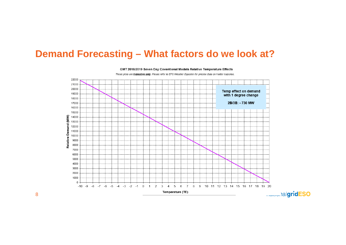### **Demand Forecasting – What factors do we look at?**



GMT 2018/2019 Seven Day Coventional Models Relative Temperature Effects

These plots are *indicative only*. Please refer to EFS Weather Equation for precise data on model response.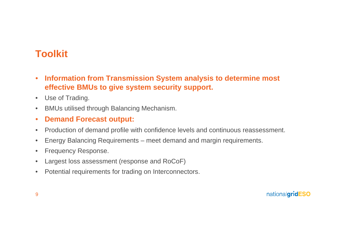# **Toolkit**

- **Information from Transmission System analysis to determine most effective BMUs to give system security support.**
- Use of Trading.
- BMUs utilised through Balancing Mechanism.
- **Demand Forecast output:**
- Production of demand profile with confidence levels and continuous reassessment.
- Energy Balancing Requirements meet demand and margin requirements.
- Frequency Response.
- Largest loss assessment (response and RoCoF)
- Potential requirements for trading on Interconnectors.